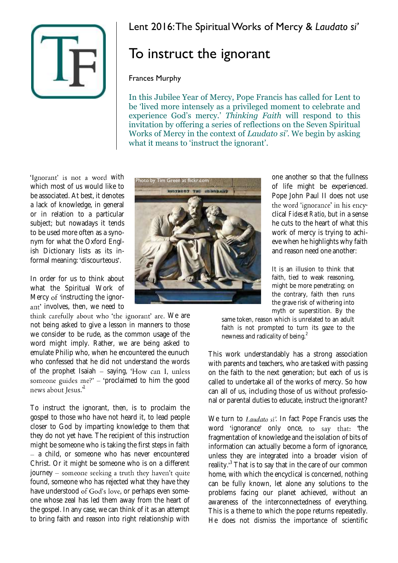

## Lent 2016: The Spiritual Works of Mercy & *Laudato si'*

## To instruct the ignorant

## Frances Murphy

In this Jubilee Year of Mercy, Pope Francis has called for Lent to be 'lived more intensely as a privileged moment to celebrate and experience God's mercy.' *Thinking Faith* will respond to this invitation by offering a series of reflections on the Seven Spiritual Works of Mercy in the context of *Laudato si'*. We begin by asking what it means to 'instruct the ignorant'.

'Ignorant' is not a word with which most of us would like to be associated. At best, it denotes a lack of knowledge, in general or in relation to a particular subject; but nowadays it tends to be used more often as a synonym for what the Oxford English Dictionary lists as its informal meaning: 'discourteous'.

In order for us to think about what the Spiritual Work of Mercy of 'instructing the ignorant' involves, then, we need to

think carefully about who 'the ignorant' are. We are not being asked to give a lesson in manners to those we consider to be rude, as the common usage of the word might imply. Rather, we are being asked to emulate Philip who, when he encountered the eunuch who confessed that he did not understand the words of the prophet Isaiah  $-$  saying, 'How can I, unless someone guides  $me$ ?'  $-$  'proclaimed to him the good news about Jesus.<sup>'1</sup>

To instruct the ignorant, then, is to proclaim the gospel to those who have not heard it, to lead people closer to God by imparting knowledge to them that they do not yet have. The recipient of this instruction might be someone who is taking the first steps in faith - a child, or someone who has never encountered Christ. Or it might be someone who is on a different journey – someone seeking a truth they haven't quite found, someone who has rejected what they have they have understood of God's love, or perhaps even someone whose zeal has led them away from the heart of the gospel. In any case, we can think of it as an attempt to bring faith and reason into right relationship with



one another so that the fullness of life might be experienced. Pope John Paul II does not use the word 'ignorance' in his encyclical *Fides et Ratio*, but in a sense he cuts to the heart of what this work of mercy is trying to achieve when he highlights why faith and reason need one another:

It is an illusion to think that faith, tied to weak reasoning, might be more penetrating; on the contrary, faith then runs the grave risk of withering into myth or superstition. By the

same token, reason which is unrelated to an adult faith is not prompted to turn its gaze to the newness and radicality of being.<sup>2</sup>

This work understandably has a strong association with parents and teachers, who are tasked with passing on the faith to the next generation; but each of us is called to undertake all of the works of mercy. So how can all of us, including those of us without professional or parental duties to educate, instruct the ignorant?

We turn to Laudato si'. In fact Pope Francis uses the word 'ignorance' only once, to say that: 'the fragmentation of knowledge and the isolation of bits of information can actually become a form of ignorance, unless they are integrated into a broader vision of reality.<sup>3</sup> That is to say that in the care of our common home, with which the encyclical is concerned, nothing can be fully known, let alone any solutions to the problems facing our planet achieved, without an awareness of the interconnectedness of everything. This is a theme to which the pope returns repeatedly. He does not dismiss the importance of scientific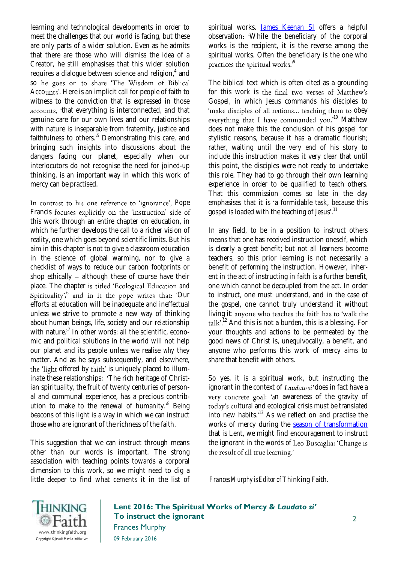learning and technological developments in order to meet the challenges that our world is facing, but these are only parts of a wider solution. Even as he admits that there are those who will dismiss the idea of a Creator, he still emphasises that this wider solution requires a dialogue between science and religion,<sup>4</sup> and so he goes on to share 'The Wisdom of Biblical Accounts'. Here is an implicit call for people of faith to witness to the conviction that is expressed in those accounts, 'that everything is interconnected, and that genuine care for our own lives and our relationships with nature is inseparable from fraternity, justice and faithfulness to others. $55$  Demonstrating this care, and bringing such insights into discussions about the dangers facing our planet, especially when our interlocutors do not recognise the need for joined-up thinking, is an important way in which this work of mercy can be practised.

In contrast to his one reference to 'ignorance', Pope Francis focuses explicitly on the 'instruction' side of this work through an entire chapter on education, in which he further develops the call to a richer vision of reality, one which goes beyond scientific limits. But his aim in this chapter is not to give a classroom education in the science of global warming, nor to give a checklist of ways to reduce our carbon footprints or shop ethically  $-$  although these of course have their place. The chapter is titled 'Ecological Education and ,<sup>6</sup> and in it the pope writes that: 'Our efforts at education will be inadequate and ineffectual unless we strive to promote a new way of thinking about human beings, life, society and our relationship with nature.<sup>,7</sup> In other words: all the scientific, economic and political solutions in the world will not help our planet and its people unless we realise *why* they matter. And as he says subsequently, and elsewhere, the 'light offered by faith' is uniquely placed to illuminate these relationships: 'The rich heritage of Christian spirituality, the fruit of twenty centuries of personal and communal experience, has a precious contribution to make to the renewal of humanity.<sup>8</sup> Being beacons of this light is a way in which we can instruct those who are ignorant of the richness of the faith.

This suggestion that we can instruct through means other than our words is important. The strong association with teaching points towards a corporal dimension to this work, so we might need to dig a little deeper to find what cements it in the list of spiritual works. [James Keenan SJ](https://www.thinkingfaith.org/articles/scandal-mercy-excludes-no-one) offers a helpful observation: 'While the beneficiary of the corporal works is the recipient, it is the reverse among the spiritual works. Often the beneficiary is the one who practices the spiritual works.<sup>9</sup>

The biblical text which is often cited as a grounding for this work is the final two verses of Matthew's Gospel, in which Jesus commands his disciples to 'make disciples of all nations... teaching them to obey everything that I have commanded you.<sup>10</sup> Matthew does not make this the conclusion of his gospel for stylistic reasons, because it has a dramatic flourish; rather, waiting until the very end of his story to include this instruction makes it very clear that until this point, the disciples were not ready to undertake this role. They had to go through their own learning experience in order to be qualified to teach others. That this commission comes so late in the day emphasises that it is 'a formidable task, because this gospel is loaded with the teaching of Jesus'.<sup>11</sup>

In any field, to be in a position to instruct others means that one has received instruction oneself, which is clearly a great benefit; but not all learners become teachers, so this prior learning is not necessarily a benefit of *performing* the instruction. However, inherent in the act of instructing in faith is a further benefit, one which cannot be decoupled from the act. In order to instruct, one must understand, and in the case of the gospel, one cannot truly understand it without living it: anyone who teaches the faith has to 'walk the  $\text{talk}$ <sup>12</sup> And this is not a burden, this is a blessing. For your thoughts and actions to be permeated by the good news of Christ is, unequivocally, a benefit, and anyone who performs this work of mercy aims to share that benefit with others.

So yes, it is a spiritual work, but instructing the ignorant in the context of Laudato si'does in fact have a very concrete goal: 'an awareness of the gravity of today's cultural and ecological crisis must be translated into new habits. $13$  As we reflect on and practise the works of mercy during the [season of transformation](https://www.thinkingfaith.org/articles/not-giving-too-easily-thoughts-ash-wednesday) that is Lent, we might find encouragement to instruct the ignorant in the words of Leo Buscaglia: 'Change is the result of all true learning.'

*Frances Murphy is Editor of* Thinking Faith*.*



**Lent 2016: The Spiritual Works of Mercy &** *Laudato si'* **To instruct the ignorant** Frances Murphy 09 February 2016